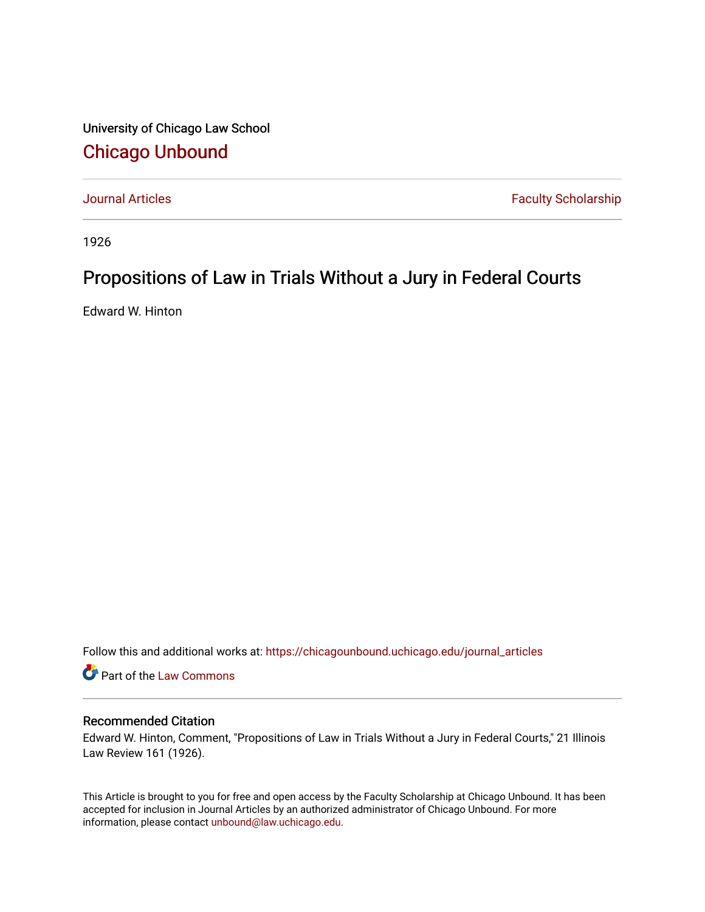University of Chicago Law School [Chicago Unbound](https://chicagounbound.uchicago.edu/)

[Journal Articles](https://chicagounbound.uchicago.edu/journal_articles) **Faculty Scholarship Faculty Scholarship** 

1926

## Propositions of Law in Trials Without a Jury in Federal Courts

Edward W. Hinton

Follow this and additional works at: [https://chicagounbound.uchicago.edu/journal\\_articles](https://chicagounbound.uchicago.edu/journal_articles?utm_source=chicagounbound.uchicago.edu%2Fjournal_articles%2F9325&utm_medium=PDF&utm_campaign=PDFCoverPages) 

Part of the [Law Commons](http://network.bepress.com/hgg/discipline/578?utm_source=chicagounbound.uchicago.edu%2Fjournal_articles%2F9325&utm_medium=PDF&utm_campaign=PDFCoverPages)

## Recommended Citation

Edward W. Hinton, Comment, "Propositions of Law in Trials Without a Jury in Federal Courts," 21 Illinois Law Review 161 (1926).

This Article is brought to you for free and open access by the Faculty Scholarship at Chicago Unbound. It has been accepted for inclusion in Journal Articles by an authorized administrator of Chicago Unbound. For more information, please contact [unbound@law.uchicago.edu](mailto:unbound@law.uchicago.edu).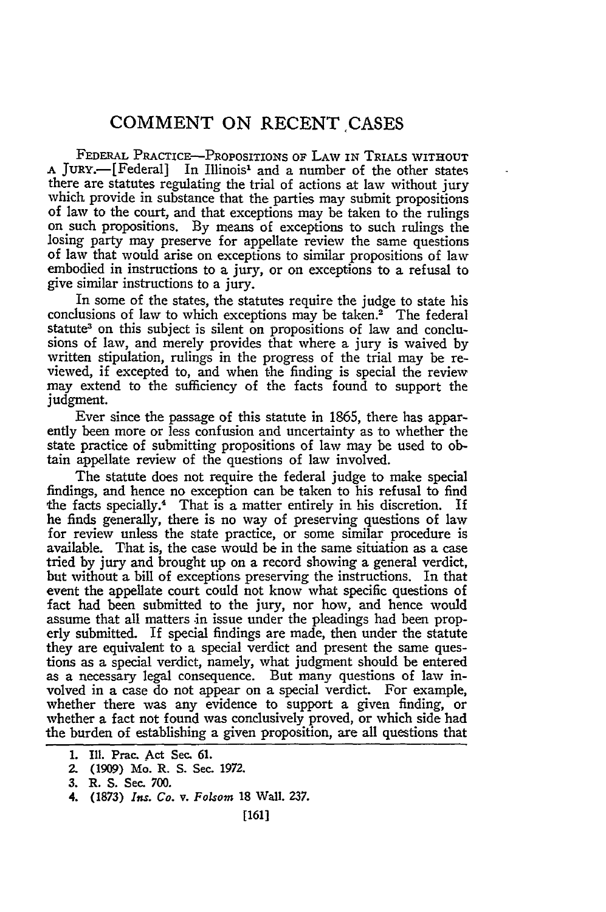## **COMMENT ON RECENT ,CASES**

FEDERAL PRACTICE-PROPOSITIONS OF LAW IN TRIALS WITHOUT **<sup>A</sup>**JuRY.-[Federal] In Illinois' and a number of the other states there are statutes regulating the trial of actions at law without jury which provide in substance that the parties may submit propositions of law to the court, and that exceptions may be taken to the rulings on such propositions. By means of exceptions to such rulings the losing party may preserve for appellate review the same questions of law that would arise on exceptions to similar propositions of law embodied in instructions to a jury, or on exceptions to a refusal to give similar instructions to a jury.

In some of the states, the statutes require the judge to state his conclusions of law to which exceptions may be taken.<sup>2</sup> The federal statute<sup>3</sup> on this subject is silent on propositions of law and conclusions of law, and merely provides that where a jury is waived by written stipulation, rulings in the progress of the trial may be reviewed, if excepted to, and when the finding is special the review may extend to the sufficiency of the facts found to support the judgment.

Ever since the passage of this statute in 1865, there has apparently been more or less confusion and uncertainty as to whether the state practice of submitting propositions of law may be used to obtain appellate review of the questions of law involved.

The statute does not require the federal judge to make special findings, and hence no exception can be taken to his refusal to find the facts specially.<sup>4</sup> That is a matter entirely in his discretion. If he finds generally, there is no way of preserving questions of law for review unless the state practice, or some similar procedure is available. That is, the case would be in the same situation as a case tried by jury and brought up on a record showing a general verdict, but without a bill of exceptions preserving the instructions. In that event the appellate court could not know what specific questions of fact had been submitted to the jury, nor how, and hence would assume that all matters in issue under the pleadings had been properly submitted. If special findings are made, then under the statute they are equivalent to a special verdict and present the same questions as a special verdict, namely, what judgment should be entered as a necessary legal consequence. But many questions of law involved in a case do not appear on a special verdict. For example, whether there was any evidence to support a given finding, or whether a fact not found was conclusively proved, or which side had the burden of establishing a given proposition, are all questions that

**<sup>1.</sup>** Ill. **Prac. Act** Sec. **61.**

**<sup>2.</sup>** (1909) Mo. R. S. Sec. **1972.**

**<sup>3.</sup>** R. **S.** Sec. 700.

**<sup>4. (1873)</sup>** *Ins. Co. v. Folsom* 18 Wall. 237.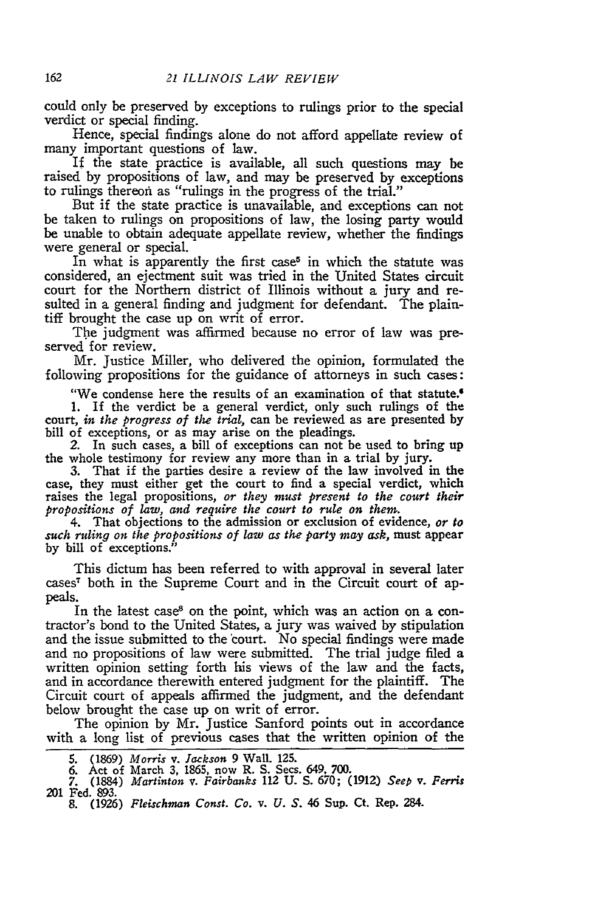could only be preserved by exceptions to rulings prior to the special verdict or special finding.

Hence, special findings alone do not afford appellate review of many important questions of law.

If the state practice is available, all such questions may be raised by propositions of law, and may be preserved by exceptions to rulings thereon as "rulings in the progress of the trial."

But if the state practice is unavailable, and exceptions can not be taken to rulings on propositions of law, the losing party would be unable to obtain adequate appellate review, whether the findings were general or special.

In what is apparently the first case<sup>5</sup> in which the statute was considered, an ejectment suit was tried in the United States circuit court for the Northern district of Illinois without a jury and resulted in a general finding and judgment for defendant. The plaintiff brought the case up on writ of error.

The judgment was affirmed because no error of law was preserved for review.

Mr. Justice Miller, who delivered the opinion, formulated the following propositions for the guidance of attorneys in such cases:

"We condense here the results of an examination of that statute."

1. If the verdict be a general verdict, only such rulings of the court, *in the progress of the trial,* can be reviewed as are presented by

bill of exceptions, or as may arise on the pleadings. *2.* In such cases, a bill of exceptions can not be used to bring up the whole testimony for review any more than in a trial by jury. 3. That if the parties desire a review of the law involved in the

case, they must either get the court to find a special verdict, which raises the legal propositions, *or they must present to the court their propositions of law, and require the court to rule on them.*

4. That objections to the admission or exclusion of evidence, *or to such ruling on the propositions of law as the party may ask,* must appear by bill of exceptions.

This dictum has been referred to with approval in several later cases7 both in the Supreme Court and in the Circuit court of appeals.

In the latest case<sup>8</sup> on the point, which was an action on a contractor's bond to the United States, a jury was waived by stipulation and the issue submitted to the 'court. No special findings were made and no propositions of law were submitted. The trial judge filed a written opinion setting forth **his** views of the law and the facts, and in accordance therewith entered judgment for the plaintiff. The Circuit court of appeals affirmed the judgment, and the defendant below brought the case up on writ of error.

The opinion by Mr. Justice Sanford points out in accordance with a long list of previous cases that the written opinion of the

**<sup>5.</sup>** (1869) *Morris v. Jackson* 9 Wall. 125. 6. Act of March 3, 1865, now R. S. Secs. 649. 700. 7. (1884) *Martinton v. Fairbanks* 112 U. S. 670; (1912) *Seep v. Ferris* 201 Fed. **893.**

<sup>8. (1926)</sup> *Fleischman Const. Co. v. U. S.* 46 Sup. Ct. Rep. 284.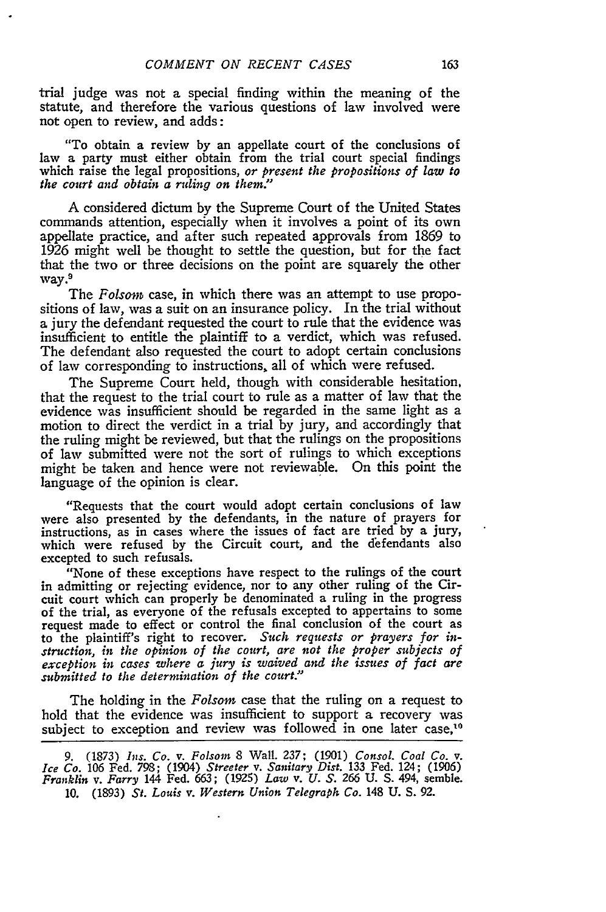trial judge was not a special finding within the meaning of the statute, and therefore the various questions of law involved were not open to review, and adds:

"To obtain a review **by** an appellate court of the conclusions of law a party must either obtain from the trial court special findings which raise the legal propositions, *or present the propositions of law to the court and obtain a ruling on them."*

A considered dictum **by** the Supreme Court of the United States commands attention, especially when it involves a point of its own appellate practice, and after such repeated approvals from 1869 to 1926 might well be thought to settle the question, but for the fact that the two or three decisions on the point are squarely the other way.

The *Folsom* case, in which there was an attempt to use propositions of law, was a suit on an insurance policy. In the trial without a jury the defendant requested the court to rule that the evidence was insufficient to entitle the plaintiff to a verdict, which was refused. The defendant also requested the court to adopt certain conclusions of law corresponding to instructions, all of which were refused.

The Supreme Court held, though with considerable hesitation, that the request to the trial court to rule as a matter of law that the evidence was insufficient should be regarded in the same light as a motion to direct the verdict in a trial by jury, and accordingly that the ruling might be reviewed, but that the rulings on the propositions of law submitted were not the sort of rulings to which exceptions might be taken and hence were not reviewable. On this point the language of the opinion is clear.

"Requests that the court would adopt certain conclusions of law were also presented by the defendants, in the nature of prayers for instructions, as in cases where the issues of fact are tried by a jury, which were refused by the Circuit court, and the defendants also excepted to such refusals.

"None of these exceptions have respect to the rulings of the court in admitting or rejecting evidence, nor to any other ruling of the Circuit court which can properly be denominated a ruling in the progress of the trial, as everyone of the refusals excepted to appertains to some request made to effect or control the final conclusion of the court as to the plaintiff's right to recover. *Such requests or prayers for instruction, in the opinion of the court, are not the proper subjects of exception in cases where a jury is waived and the issues of fact are submitted to the determination of the court."*

The holding in the *Folsom* case that the ruling on a request to hold that the evidence was insufficient to support a recovery was subject to exception and review was followed in one later case,<sup>10</sup>

**<sup>9. (1873)</sup>** *Ins.* Co. *v. Folsom* **8** Wall. **237; (1901)** *Consol. Coal* Co. *v. Ice* Co. **106** Fed. **798;** (1904) *Streeter v. Sanitary Dist.* **133** Fed. 124; **(1906)** *Franklin v. Farry* 144 Fed. **663;** (1925) *Law* v. *U. S. 266* **U. S.** 494, semble. **10. (1893)** *St. Louis v. Western Union Telegraph* Co. 148 **U. S. 92.**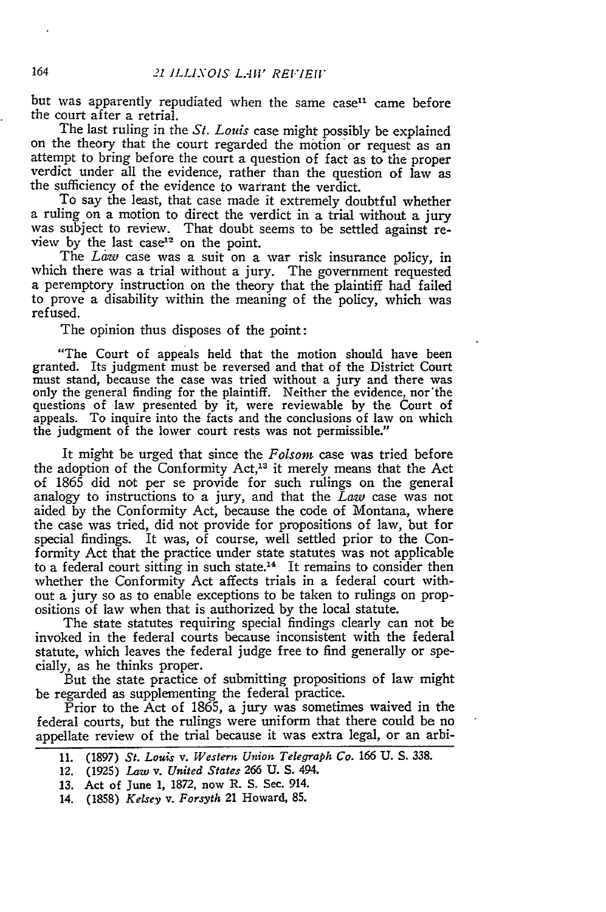but was apparently repudiated when the same case<sup>11</sup> came before the court after a retrial.

The last ruling in the *St. Louis* case might possibly be explained on the theory that the court regarded the motion or request as an attempt to bring before the court a question of fact as to the proper verdict under all the evidence, rather than the question of law as the sufficiency of the evidence to warrant the verdict.

To say the least, that case made it extremely doubtful whether a ruling on a motion to direct the verdict in a trial without a jury was subject to review. That doubt seems to be settled against review by the last case<sup>12</sup> on the point.

The *Law* case was a suit on a war risk insurance policy, in which there was a trial without a jury. The government requested a peremptory instruction on the theory that the plaintiff had failed to prove a disability within the meaning of the policy, which was refused.

The opinion thus disposes of the point:

"The Court of appeals held that the motion should have been granted. Its judgment must be reversed and that of the District Court must stand, because the case was tried without a jury and there was only the general finding for the plaintiff. Neither the evidence, nor'the questions of law presented by it, were reviewable by the Court of appeals. To inquire into the facts and the conclusions of law on which the judgment of the lower court rests was not permissible."

It might be urged that since the *Folson* case was tried before the adoption of the Conformity Act,<sup>13</sup> it merely means that the Act **of** 1865 did not per se provide for such rulings on the general analogy to instructions to a jury, and that the *Law* case was not aided by the Conformity Act, because the code of Montana, where the case was tried, did not provide for propositions of law, but for special findings. It was, of course, well settled prior to the Conformity Act that the practice under state statutes was not applicable to a federal court sitting in such state.<sup>14</sup> It remains to consider then whether the Conformity Act affects trials in a federal court without a jury so as to enable exceptions to be taken to rulings on propositions of law when that is authorized by the local statute.

The state statutes requiring special findings clearly can not be invoked in the federal courts because inconsistent with the federal statute, which leaves the federal judge free to find generally or specially, as he thinks proper.

But the state practice of submitting propositions of law might be regarded as supplementing the federal practice.

Prior to the Act of 1865, a jury was sometimes waived in the federal courts, but the rulings were uniform that there could be no appellate review of the trial because it was extra legal, or an arbi-

164

<sup>11. (1897)</sup> *St. Louis v. Western Union Telegraph Co.* 166 **U. S. 338.**

<sup>12. (1925)</sup> *Law* v. *United States* 266 *U. S.* 494.

<sup>13.</sup> Act of June **1, 1872,** now R. S. Sec. 914.

<sup>14. (1858)</sup> *Kelsey v. Forsyth* 21 Howard, 85.